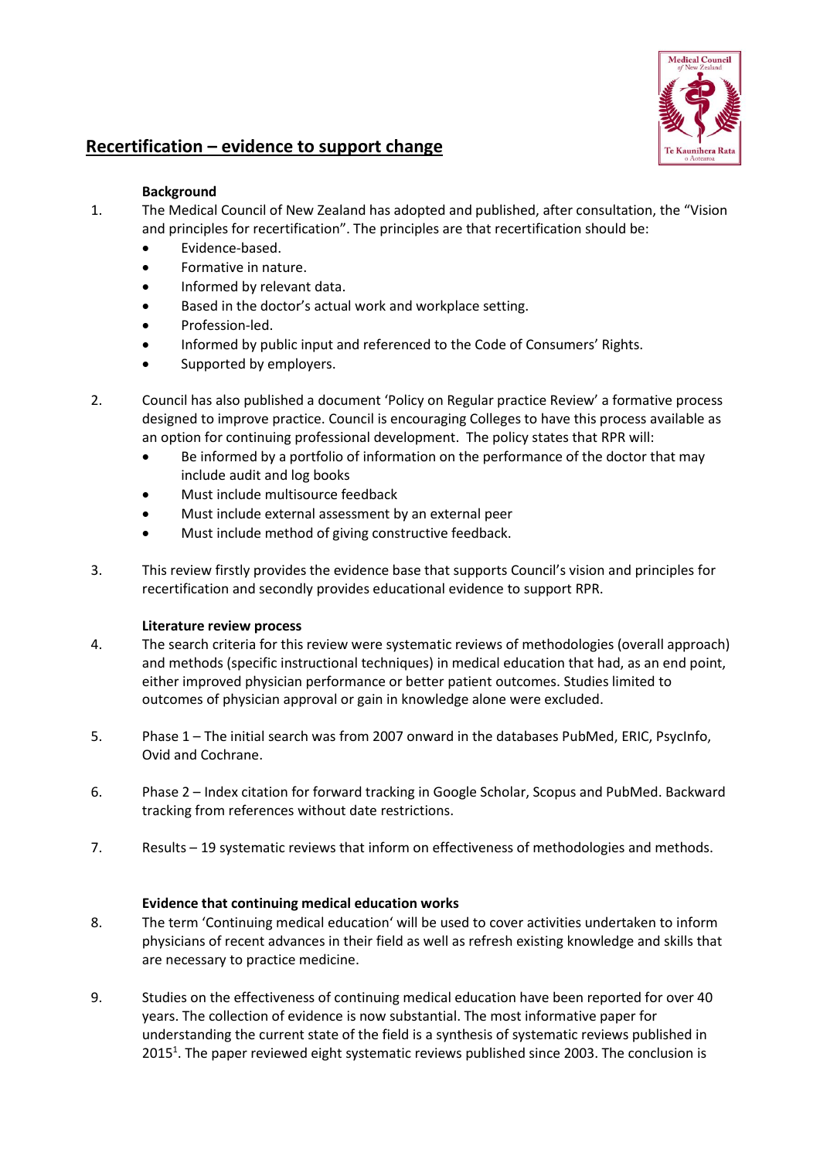

# **Recertification – evidence to support change**

## **Background**

- 1. The Medical Council of New Zealand has adopted and published, after consultation, the "Vision and principles for recertification". The principles are that recertification should be:
	- Evidence-based.
	- Formative in nature.
	- Informed by relevant data.
	- Based in the doctor's actual work and workplace setting.
	- Profession-led.
	- Informed by public input and referenced to the Code of Consumers' Rights.
	- Supported by employers.
- 2. Council has also published a document 'Policy on Regular practice Review' a formative process designed to improve practice. Council is encouraging Colleges to have this process available as an option for continuing professional development. The policy states that RPR will:
	- Be informed by a portfolio of information on the performance of the doctor that may include audit and log books
	- Must include multisource feedback
	- Must include external assessment by an external peer
	- Must include method of giving constructive feedback.
- 3. This review firstly provides the evidence base that supports Council's vision and principles for recertification and secondly provides educational evidence to support RPR.

# **Literature review process**

- 4. The search criteria for this review were systematic reviews of methodologies (overall approach) and methods (specific instructional techniques) in medical education that had, as an end point, either improved physician performance or better patient outcomes. Studies limited to outcomes of physician approval or gain in knowledge alone were excluded.
- 5. Phase 1 The initial search was from 2007 onward in the databases PubMed, ERIC, PsycInfo, Ovid and Cochrane.
- 6. Phase 2 Index citation for forward tracking in Google Scholar, Scopus and PubMed. Backward tracking from references without date restrictions.
- 7. Results 19 systematic reviews that inform on effectiveness of methodologies and methods.

# **Evidence that continuing medical education works**

- 8. The term 'Continuing medical education' will be used to cover activities undertaken to inform physicians of recent advances in their field as well as refresh existing knowledge and skills that are necessary to practice medicine.
- 9. Studies on the effectiveness of continuing medical education have been reported for over 40 years. The collection of evidence is now substantial. The most informative paper for understanding the current state of the field is a synthesis of systematic reviews published in 2015<sup>1</sup>. The paper reviewed eight systematic reviews published since 2003. The conclusion is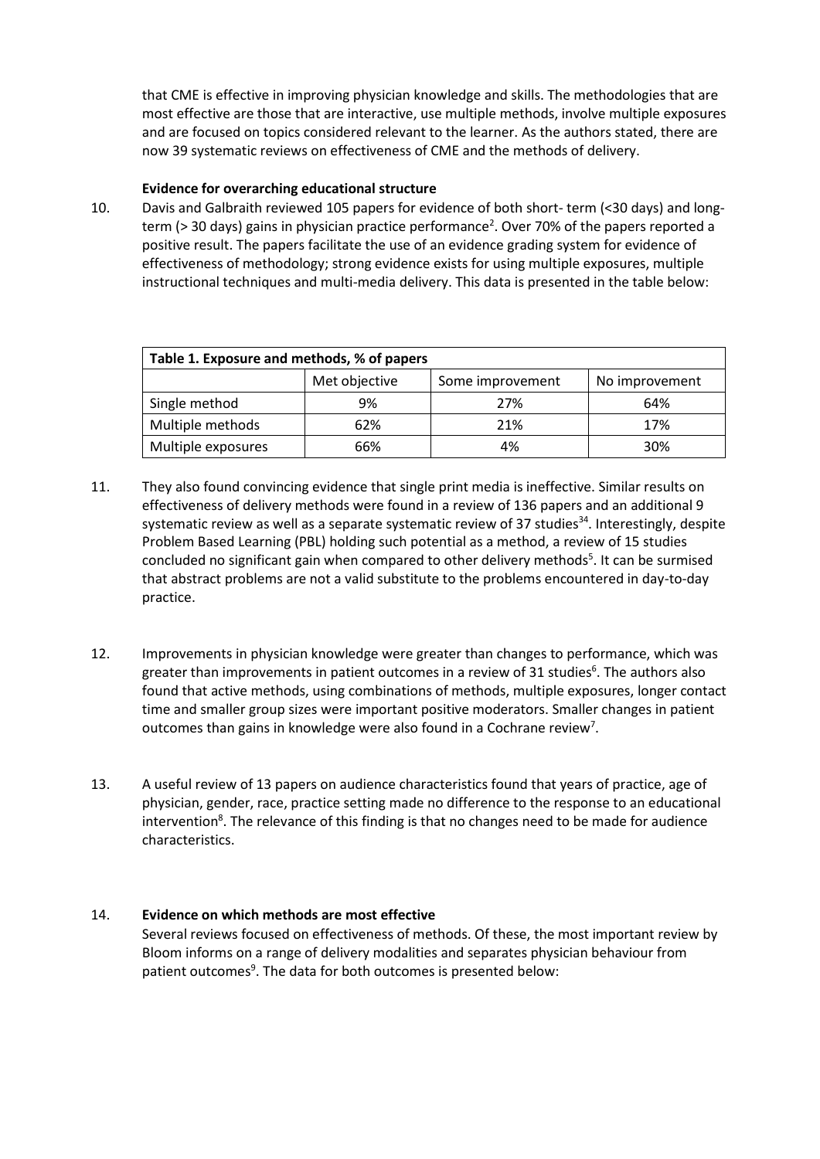that CME is effective in improving physician knowledge and skills. The methodologies that are most effective are those that are interactive, use multiple methods, involve multiple exposures and are focused on topics considered relevant to the learner. As the authors stated, there are now 39 systematic reviews on effectiveness of CME and the methods of delivery.

#### **Evidence for overarching educational structure**

10. Davis and Galbraith reviewed 105 papers for evidence of both short- term (<30 days) and longterm (> 30 days) gains in physician practice performance<sup>2</sup>. Over 70% of the papers reported a positive result. The papers facilitate the use of an evidence grading system for evidence of effectiveness of methodology; strong evidence exists for using multiple exposures, multiple instructional techniques and multi-media delivery. This data is presented in the table below:

| Table 1. Exposure and methods, % of papers |               |                  |                |  |  |  |  |  |
|--------------------------------------------|---------------|------------------|----------------|--|--|--|--|--|
|                                            | Met objective | Some improvement | No improvement |  |  |  |  |  |
| Single method                              | 9%            | 27%              | 64%            |  |  |  |  |  |
| Multiple methods                           | 62%           | 21%              | 17%            |  |  |  |  |  |
| Multiple exposures                         | 66%           | 4%               | 30%            |  |  |  |  |  |

- 11. They also found convincing evidence that single print media is ineffective. Similar results on effectiveness of delivery methods were found in a review of 136 papers and an additional 9 systematic review as well as a separate systematic review of 37 studies<sup>34</sup>. Interestingly, despite Problem Based Learning (PBL) holding such potential as a method, a review of 15 studies concluded no significant gain when compared to other delivery methods<sup>5</sup>. It can be surmised that abstract problems are not a valid substitute to the problems encountered in day-to-day practice.
- 12. Improvements in physician knowledge were greater than changes to performance, which was greater than improvements in patient outcomes in a review of 31 studies<sup>6</sup>. The authors also found that active methods, using combinations of methods, multiple exposures, longer contact time and smaller group sizes were important positive moderators. Smaller changes in patient outcomes than gains in knowledge were also found in a Cochrane review<sup>7</sup>.
- 13. A useful review of 13 papers on audience characteristics found that years of practice, age of physician, gender, race, practice setting made no difference to the response to an educational intervention<sup>8</sup>. The relevance of this finding is that no changes need to be made for audience characteristics.

# 14. **Evidence on which methods are most effective**

Several reviews focused on effectiveness of methods. Of these, the most important review by 1. Bloom informs on a range of delivery modalities and separates physician behaviour from patient outcomes<sup>9</sup>. The data for both outcomes is presented below: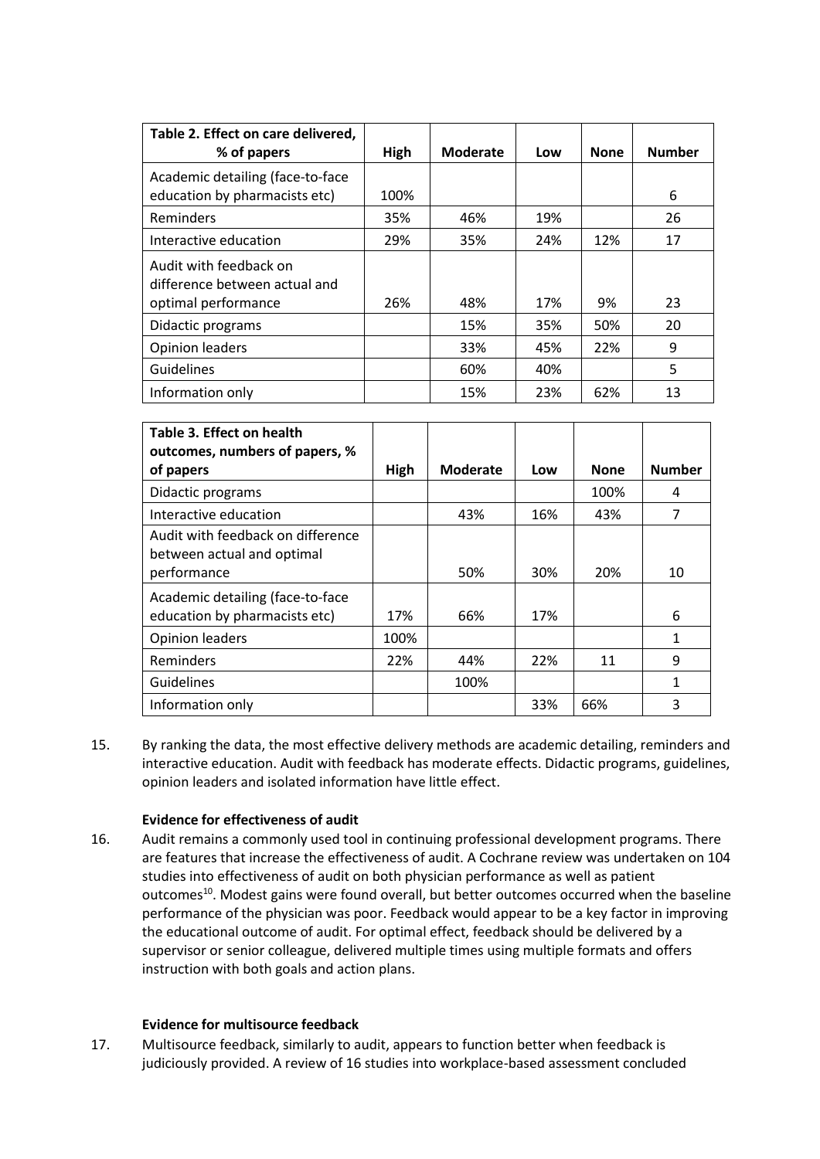| Table 2. Effect on care delivered,<br>% of papers                              | High | Moderate | Low | <b>None</b> | <b>Number</b> |
|--------------------------------------------------------------------------------|------|----------|-----|-------------|---------------|
| Academic detailing (face-to-face<br>education by pharmacists etc)              | 100% |          |     |             | 6             |
| Reminders                                                                      | 35%  | 46%      | 19% |             | 26            |
| Interactive education                                                          | 29%  | 35%      | 24% | 12%         | 17            |
| Audit with feedback on<br>difference between actual and<br>optimal performance | 26%  | 48%      | 17% | 9%          | 23            |
| Didactic programs                                                              |      | 15%      | 35% | 50%         | 20            |
| <b>Opinion leaders</b>                                                         |      | 33%      | 45% | 22%         | 9             |
| Guidelines                                                                     |      | 60%      | 40% |             | 5             |
| Information only                                                               |      | 15%      | 23% | 62%         | 13            |

| Table 3. Effect on health<br>outcomes, numbers of papers, %                    |      |                 |     |             |               |
|--------------------------------------------------------------------------------|------|-----------------|-----|-------------|---------------|
| of papers                                                                      | High | <b>Moderate</b> | Low | <b>None</b> | <b>Number</b> |
| Didactic programs                                                              |      |                 |     | 100%        | 4             |
| Interactive education                                                          |      | 43%             | 16% | 43%         | 7             |
| Audit with feedback on difference<br>between actual and optimal<br>performance |      | 50%             | 30% | 20%         | 10            |
| Academic detailing (face-to-face<br>education by pharmacists etc)              | 17%  | 66%             | 17% |             | 6             |
| <b>Opinion leaders</b>                                                         | 100% |                 |     |             |               |
| Reminders                                                                      | 22%  | 44%             | 22% | 11          | 9             |
| Guidelines                                                                     |      | 100%            |     |             | 1             |
| Information only                                                               |      |                 | 33% | 66%         | 3             |

15. By ranking the data, the most effective delivery methods are academic detailing, reminders and interactive education. Audit with feedback has moderate effects. Didactic programs, guidelines, opinion leaders and isolated information have little effect.

# **Evidence for effectiveness of audit**

16. Audit remains a commonly used tool in continuing professional development programs. There are features that increase the effectiveness of audit. A Cochrane review was undertaken on 104 studies into effectiveness of audit on both physician performance as well as patient outcomes<sup>10</sup>. Modest gains were found overall, but better outcomes occurred when the baseline performance of the physician was poor. Feedback would appear to be a key factor in improving the educational outcome of audit. For optimal effect, feedback should be delivered by a supervisor or senior colleague, delivered multiple times using multiple formats and offers instruction with both goals and action plans.

## **Evidence for multisource feedback**

17. Multisource feedback, similarly to audit, appears to function better when feedback is judiciously provided. A review of 16 studies into workplace-based assessment concluded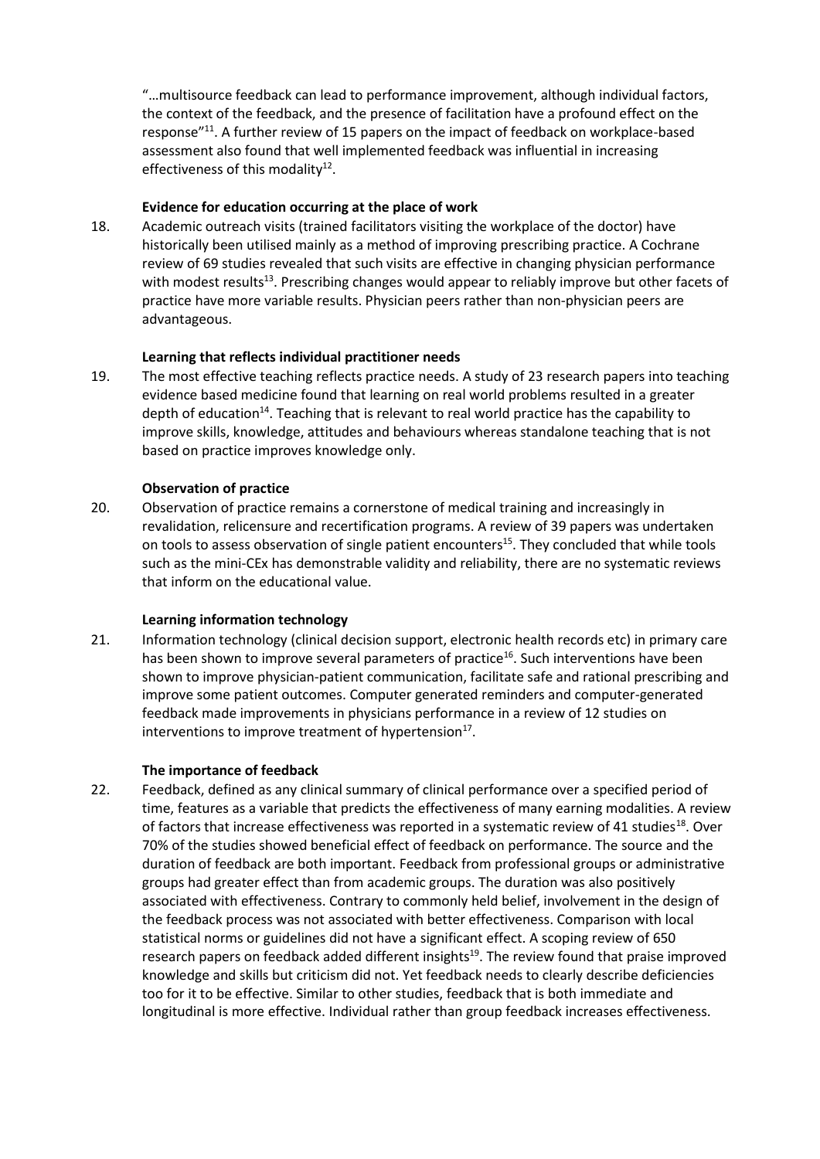"…multisource feedback can lead to performance improvement, although individual factors, the context of the feedback, and the presence of facilitation have a profound effect on the response"<sup>11</sup>. A further review of 15 papers on the impact of feedback on workplace-based assessment also found that well implemented feedback was influential in increasing effectiveness of this modality $^{12}$ .

#### **Evidence for education occurring at the place of work**

18. Academic outreach visits (trained facilitators visiting the workplace of the doctor) have historically been utilised mainly as a method of improving prescribing practice. A Cochrane review of 69 studies revealed that such visits are effective in changing physician performance with modest results<sup>13</sup>. Prescribing changes would appear to reliably improve but other facets of practice have more variable results. Physician peers rather than non-physician peers are advantageous.

## **Learning that reflects individual practitioner needs**

19. The most effective teaching reflects practice needs. A study of 23 research papers into teaching evidence based medicine found that learning on real world problems resulted in a greater depth of education<sup>14</sup>. Teaching that is relevant to real world practice has the capability to improve skills, knowledge, attitudes and behaviours whereas standalone teaching that is not based on practice improves knowledge only.

## **Observation of practice**

20. Observation of practice remains a cornerstone of medical training and increasingly in revalidation, relicensure and recertification programs. A review of 39 papers was undertaken on tools to assess observation of single patient encounters<sup>15</sup>. They concluded that while tools such as the mini-CEx has demonstrable validity and reliability, there are no systematic reviews that inform on the educational value.

#### **Learning information technology**

21. Information technology (clinical decision support, electronic health records etc) in primary care has been shown to improve several parameters of practice<sup>16</sup>. Such interventions have been shown to improve physician-patient communication, facilitate safe and rational prescribing and improve some patient outcomes. Computer generated reminders and computer-generated feedback made improvements in physicians performance in a review of 12 studies on interventions to improve treatment of hypertension $^{17}$ .

# **The importance of feedback**

22. Feedback, defined as any clinical summary of clinical performance over a specified period of time, features as a variable that predicts the effectiveness of many earning modalities. A review of factors that increase effectiveness was reported in a systematic review of 41 studies<sup>18</sup>. Over 70% of the studies showed beneficial effect of feedback on performance. The source and the duration of feedback are both important. Feedback from professional groups or administrative groups had greater effect than from academic groups. The duration was also positively associated with effectiveness. Contrary to commonly held belief, involvement in the design of the feedback process was not associated with better effectiveness. Comparison with local statistical norms or guidelines did not have a significant effect. A scoping review of 650 research papers on feedback added different insights<sup>19</sup>. The review found that praise improved knowledge and skills but criticism did not. Yet feedback needs to clearly describe deficiencies too for it to be effective. Similar to other studies, feedback that is both immediate and longitudinal is more effective. Individual rather than group feedback increases effectiveness.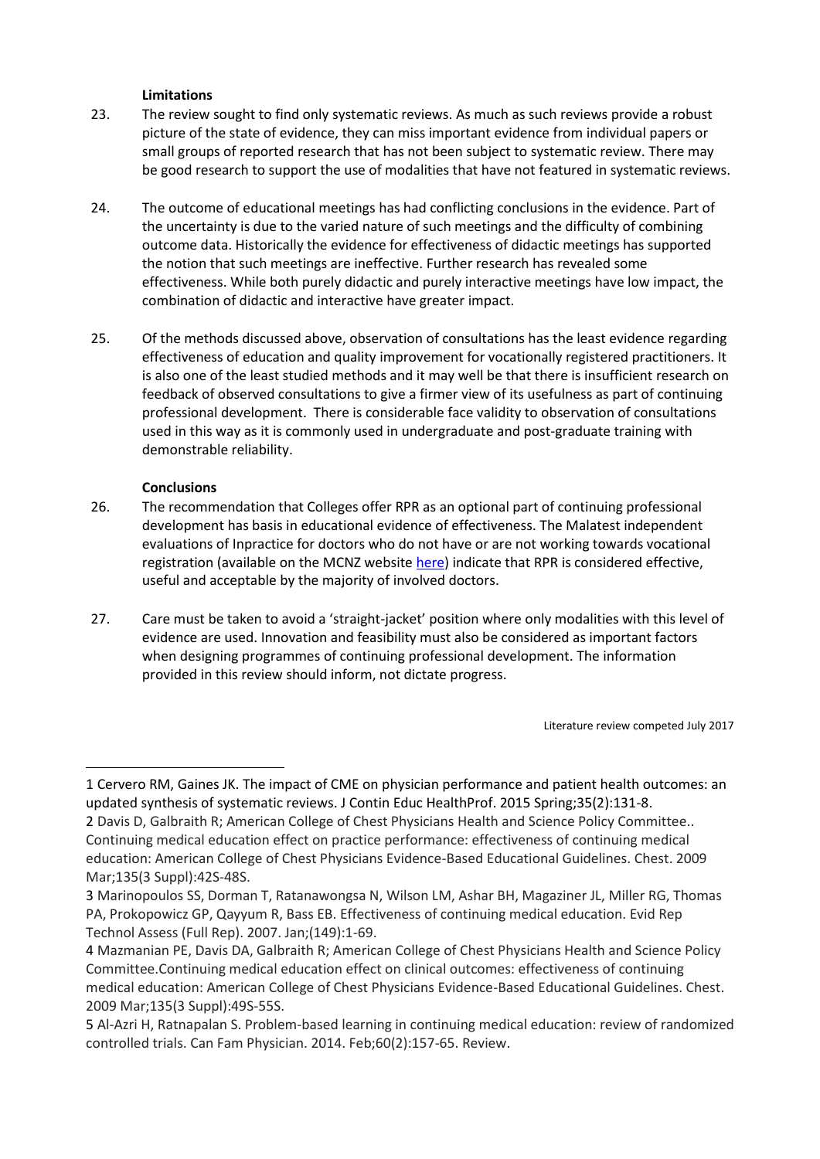# **Limitations**

- 23. The review sought to find only systematic reviews. As much as such reviews provide a robust picture of the state of evidence, they can miss important evidence from individual papers or small groups of reported research that has not been subject to systematic review. There may be good research to support the use of modalities that have not featured in systematic reviews.
- 24. The outcome of educational meetings has had conflicting conclusions in the evidence. Part of the uncertainty is due to the varied nature of such meetings and the difficulty of combining outcome data. Historically the evidence for effectiveness of didactic meetings has supported the notion that such meetings are ineffective. Further research has revealed some effectiveness. While both purely didactic and purely interactive meetings have low impact, the combination of didactic and interactive have greater impact.
- 25. Of the methods discussed above, observation of consultations has the least evidence regarding effectiveness of education and quality improvement for vocationally registered practitioners. It is also one of the least studied methods and it may well be that there is insufficient research on feedback of observed consultations to give a firmer view of its usefulness as part of continuing professional development. There is considerable face validity to observation of consultations used in this way as it is commonly used in undergraduate and post-graduate training with demonstrable reliability.

## **Conclusions**

 $\overline{a}$ 

- 26. The recommendation that Colleges offer RPR as an optional part of continuing professional development has basis in educational evidence of effectiveness. The Malatest independent evaluations of Inpractice for doctors who do not have or are not working towards vocational registration (available on the MCNZ website [here\)](https://www.mcnz.org.nz/news-and-publications/the-evaluation-of-rpr/) indicate that RPR is considered effective, useful and acceptable by the majority of involved doctors.
- 27. Care must be taken to avoid a 'straight-jacket' position where only modalities with this level of evidence are used. Innovation and feasibility must also be considered as important factors when designing programmes of continuing professional development. The information provided in this review should inform, not dictate progress.

Literature review competed July 2017

<sup>1</sup> Cervero RM, Gaines JK. The impact of CME on physician performance and patient health outcomes: an updated synthesis of systematic reviews. J Contin Educ HealthProf. 2015 Spring;35(2):131-8.

<sup>2</sup> Davis D, Galbraith R; American College of Chest Physicians Health and Science Policy Committee.. Continuing medical education effect on practice performance: effectiveness of continuing medical education: American College of Chest Physicians Evidence-Based Educational Guidelines. Chest. 2009 Mar;135(3 Suppl):42S-48S.

<sup>3</sup> Marinopoulos SS, Dorman T, Ratanawongsa N, Wilson LM, Ashar BH, Magaziner JL, Miller RG, Thomas PA, Prokopowicz GP, Qayyum R, Bass EB. Effectiveness of continuing medical education. Evid Rep Technol Assess (Full Rep). 2007. Jan;(149):1-69.

<sup>4</sup> Mazmanian PE, Davis DA, Galbraith R; American College of Chest Physicians Health and Science Policy Committee.Continuing medical education effect on clinical outcomes: effectiveness of continuing medical education: American College of Chest Physicians Evidence-Based Educational Guidelines. Chest. 2009 Mar;135(3 Suppl):49S-55S.

<sup>5</sup> Al-Azri H, Ratnapalan S. Problem-based learning in continuing medical education: review of randomized controlled trials. Can Fam Physician. 2014. Feb;60(2):157-65. Review.